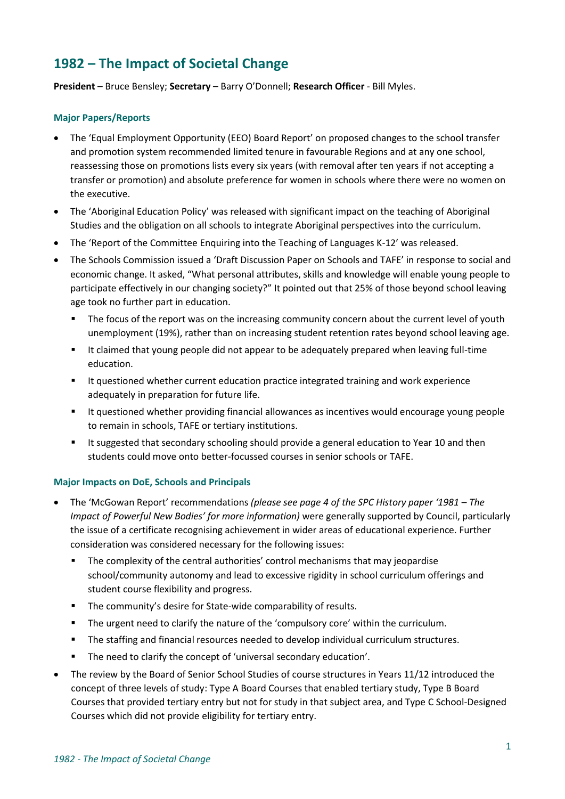# **1982 – The Impact of Societal Change**

**President** – Bruce Bensley; **Secretary** – Barry O'Donnell; **Research Officer** - Bill Myles.

#### **Major Papers/Reports**

- The 'Equal Employment Opportunity (EEO) Board Report' on proposed changes to the school transfer and promotion system recommended limited tenure in favourable Regions and at any one school, reassessing those on promotions lists every six years (with removal after ten years if not accepting a transfer or promotion) and absolute preference for women in schools where there were no women on the executive.
- The 'Aboriginal Education Policy' was released with significant impact on the teaching of Aboriginal Studies and the obligation on all schools to integrate Aboriginal perspectives into the curriculum.
- The 'Report of the Committee Enquiring into the Teaching of Languages K-12' was released.
- The Schools Commission issued a 'Draft Discussion Paper on Schools and TAFE' in response to social and economic change. It asked, "What personal attributes, skills and knowledge will enable young people to participate effectively in our changing society?" It pointed out that 25% of those beyond school leaving age took no further part in education.
	- The focus of the report was on the increasing community concern about the current level of youth unemployment (19%), rather than on increasing student retention rates beyond school leaving age.
	- It claimed that young people did not appear to be adequately prepared when leaving full-time education.
	- It questioned whether current education practice integrated training and work experience adequately in preparation for future life.
	- It questioned whether providing financial allowances as incentives would encourage young people to remain in schools, TAFE or tertiary institutions.
	- **■** It suggested that secondary schooling should provide a general education to Year 10 and then students could move onto better-focussed courses in senior schools or TAFE.

### **Major Impacts on DoE, Schools and Principals**

- The 'McGowan Report' recommendations *(please see page 4 of the SPC History paper '1981 – The Impact of Powerful New Bodies' for more information)* were generally supported by Council, particularly the issue of a certificate recognising achievement in wider areas of educational experience. Further consideration was considered necessary for the following issues:
	- The complexity of the central authorities' control mechanisms that may jeopardise school/community autonomy and lead to excessive rigidity in school curriculum offerings and student course flexibility and progress.
	- The community's desire for State-wide comparability of results.
	- The urgent need to clarify the nature of the 'compulsory core' within the curriculum.
	- The staffing and financial resources needed to develop individual curriculum structures.
	- The need to clarify the concept of 'universal secondary education'.
- The review by the Board of Senior School Studies of course structures in Years 11/12 introduced the concept of three levels of study: Type A Board Courses that enabled tertiary study, Type B Board Courses that provided tertiary entry but not for study in that subject area, and Type C School-Designed Courses which did not provide eligibility for tertiary entry.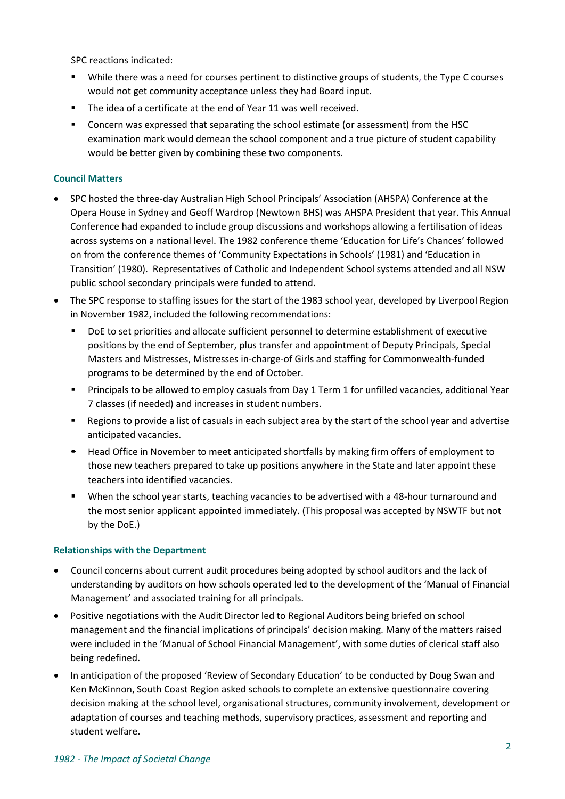SPC reactions indicated:

- While there was a need for courses pertinent to distinctive groups of students, the Type C courses would not get community acceptance unless they had Board input.
- The idea of a certificate at the end of Year 11 was well received.
- Concern was expressed that separating the school estimate (or assessment) from the HSC examination mark would demean the school component and a true picture of student capability would be better given by combining these two components.

### **Council Matters**

- SPC hosted the three-day Australian High School Principals' Association (AHSPA) Conference at the Opera House in Sydney and Geoff Wardrop (Newtown BHS) was AHSPA President that year. This Annual Conference had expanded to include group discussions and workshops allowing a fertilisation of ideas across systems on a national level. The 1982 conference theme 'Education for Life's Chances' followed on from the conference themes of 'Community Expectations in Schools' (1981) and 'Education in Transition' (1980). Representatives of Catholic and Independent School systems attended and all NSW public school secondary principals were funded to attend.
- The SPC response to staffing issues for the start of the 1983 school year, developed by Liverpool Region in November 1982, included the following recommendations:
	- DoE to set priorities and allocate sufficient personnel to determine establishment of executive positions by the end of September, plus transfer and appointment of Deputy Principals, Special Masters and Mistresses, Mistresses in-charge-of Girls and staffing for Commonwealth-funded programs to be determined by the end of October.
	- Principals to be allowed to employ casuals from Day 1 Term 1 for unfilled vacancies, additional Year 7 classes (if needed) and increases in student numbers.
	- Regions to provide a list of casuals in each subject area by the start of the school year and advertise anticipated vacancies.
	- Head Office in November to meet anticipated shortfalls by making firm offers of employment to those new teachers prepared to take up positions anywhere in the State and later appoint these teachers into identified vacancies.
	- When the school year starts, teaching vacancies to be advertised with a 48-hour turnaround and the most senior applicant appointed immediately. (This proposal was accepted by NSWTF but not by the DoE.)

### **Relationships with the Department**

- Council concerns about current audit procedures being adopted by school auditors and the lack of understanding by auditors on how schools operated led to the development of the 'Manual of Financial Management' and associated training for all principals.
- Positive negotiations with the Audit Director led to Regional Auditors being briefed on school management and the financial implications of principals' decision making. Many of the matters raised were included in the 'Manual of School Financial Management', with some duties of clerical staff also being redefined.
- In anticipation of the proposed 'Review of Secondary Education' to be conducted by Doug Swan and Ken McKinnon, South Coast Region asked schools to complete an extensive questionnaire covering decision making at the school level, organisational structures, community involvement, development or adaptation of courses and teaching methods, supervisory practices, assessment and reporting and student welfare.